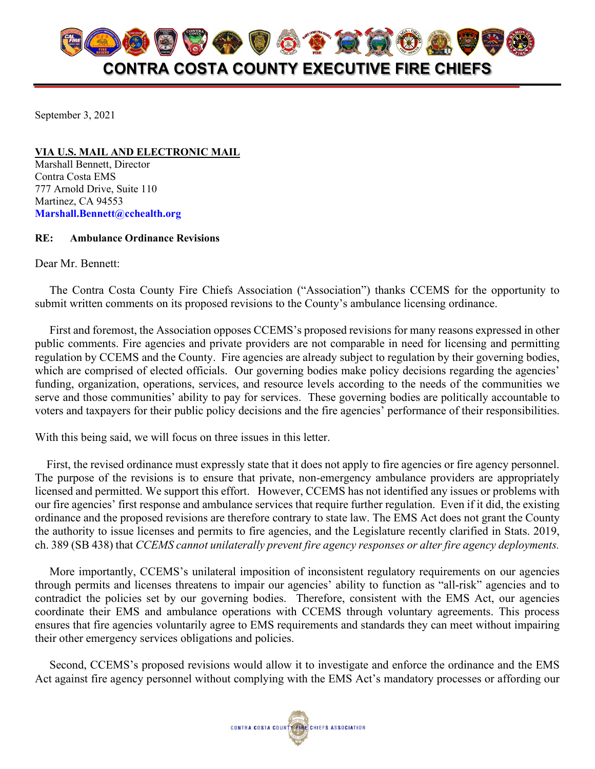

September 3, 2021

**VIA U.S. MAIL AND ELECTRONIC MAIL** Marshall Bennett, Director Contra Costa EMS 777 Arnold Drive, Suite 110 Martinez, CA 94553 **[Marshall.Bennett@cchealth.org](mailto:Marshall.Bennett@cchealth.org)**

## **RE: Ambulance Ordinance Revisions**

Dear Mr. Bennett:

 The Contra Costa County Fire Chiefs Association ("Association") thanks CCEMS for the opportunity to submit written comments on its proposed revisions to the County's ambulance licensing ordinance.

 First and foremost, the Association opposes CCEMS's proposed revisions for many reasons expressed in other public comments. Fire agencies and private providers are not comparable in need for licensing and permitting regulation by CCEMS and the County. Fire agencies are already subject to regulation by their governing bodies, which are comprised of elected officials. Our governing bodies make policy decisions regarding the agencies' funding, organization, operations, services, and resource levels according to the needs of the communities we serve and those communities' ability to pay for services. These governing bodies are politically accountable to voters and taxpayers for their public policy decisions and the fire agencies' performance of their responsibilities.

With this being said, we will focus on three issues in this letter.

First, the revised ordinance must expressly state that it does not apply to fire agencies or fire agency personnel. The purpose of the revisions is to ensure that private, non-emergency ambulance providers are appropriately licensed and permitted. We support this effort. However, CCEMS has not identified any issues or problems with our fire agencies' first response and ambulance services that require further regulation. Even if it did, the existing ordinance and the proposed revisions are therefore contrary to state law. The EMS Act does not grant the County the authority to issue licenses and permits to fire agencies, and the Legislature recently clarified in Stats. 2019, ch. 389 (SB 438) that *CCEMS cannot unilaterally prevent fire agency responses or alter fire agency deployments.*

 More importantly, CCEMS's unilateral imposition of inconsistent regulatory requirements on our agencies through permits and licenses threatens to impair our agencies' ability to function as "all-risk" agencies and to contradict the policies set by our governing bodies. Therefore, consistent with the EMS Act, our agencies coordinate their EMS and ambulance operations with CCEMS through voluntary agreements. This process ensures that fire agencies voluntarily agree to EMS requirements and standards they can meet without impairing their other emergency services obligations and policies.

 Second, CCEMS's proposed revisions would allow it to investigate and enforce the ordinance and the EMS Act against fire agency personnel without complying with the EMS Act's mandatory processes or affording our